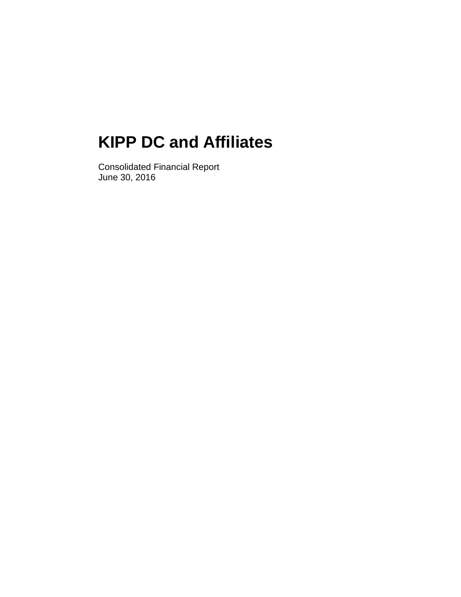Consolidated Financial Report June 30, 2016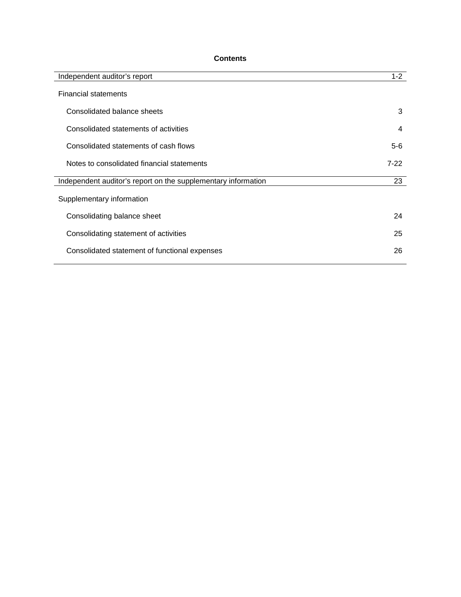# **Contents**

| Independent auditor's report                                  | $1 - 2$ |
|---------------------------------------------------------------|---------|
| <b>Financial statements</b>                                   |         |
| Consolidated balance sheets                                   | 3       |
| Consolidated statements of activities                         | 4       |
| Consolidated statements of cash flows                         | $5-6$   |
| Notes to consolidated financial statements                    | $7-22$  |
| Independent auditor's report on the supplementary information | 23      |
| Supplementary information                                     |         |
| Consolidating balance sheet                                   | 24      |
| Consolidating statement of activities                         | 25      |
| Consolidated statement of functional expenses                 | 26      |
|                                                               |         |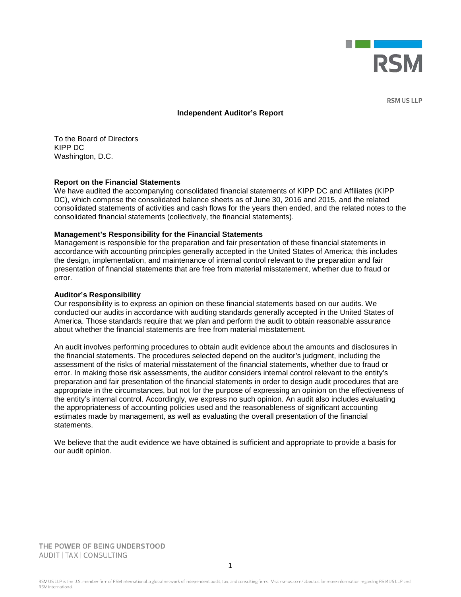

**RSM US LLP** 

#### **Independent Auditor's Report**

To the Board of Directors KIPP DC Washington, D.C.

#### **Report on the Financial Statements**

We have audited the accompanying consolidated financial statements of KIPP DC and Affiliates (KIPP DC), which comprise the consolidated balance sheets as of June 30, 2016 and 2015, and the related consolidated statements of activities and cash flows for the years then ended, and the related notes to the consolidated financial statements (collectively, the financial statements).

#### **Management's Responsibility for the Financial Statements**

Management is responsible for the preparation and fair presentation of these financial statements in accordance with accounting principles generally accepted in the United States of America; this includes the design, implementation, and maintenance of internal control relevant to the preparation and fair presentation of financial statements that are free from material misstatement, whether due to fraud or error.

### **Auditor's Responsibility**

Our responsibility is to express an opinion on these financial statements based on our audits. We conducted our audits in accordance with auditing standards generally accepted in the United States of America. Those standards require that we plan and perform the audit to obtain reasonable assurance about whether the financial statements are free from material misstatement.

An audit involves performing procedures to obtain audit evidence about the amounts and disclosures in the financial statements. The procedures selected depend on the auditor's judgment, including the assessment of the risks of material misstatement of the financial statements, whether due to fraud or error. In making those risk assessments, the auditor considers internal control relevant to the entity's preparation and fair presentation of the financial statements in order to design audit procedures that are appropriate in the circumstances, but not for the purpose of expressing an opinion on the effectiveness of the entity's internal control. Accordingly, we express no such opinion. An audit also includes evaluating the appropriateness of accounting policies used and the reasonableness of significant accounting estimates made by management, as well as evaluating the overall presentation of the financial statements.

We believe that the audit evidence we have obtained is sufficient and appropriate to provide a basis for our audit opinion.

THE POWER OF BEING UNDERSTOOD AUDIT | TAX | CONSULTING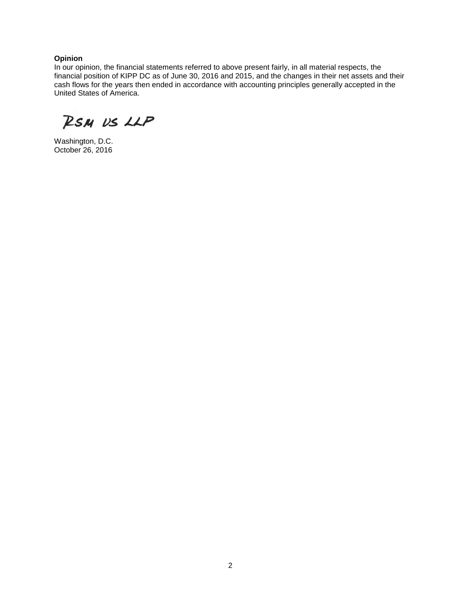## **Opinion**

In our opinion, the financial statements referred to above present fairly, in all material respects, the financial position of KIPP DC as of June 30, 2016 and 2015, and the changes in their net assets and their cash flows for the years then ended in accordance with accounting principles generally accepted in the United States of America.

RSM US LLP

Washington, D.C. October 26, 2016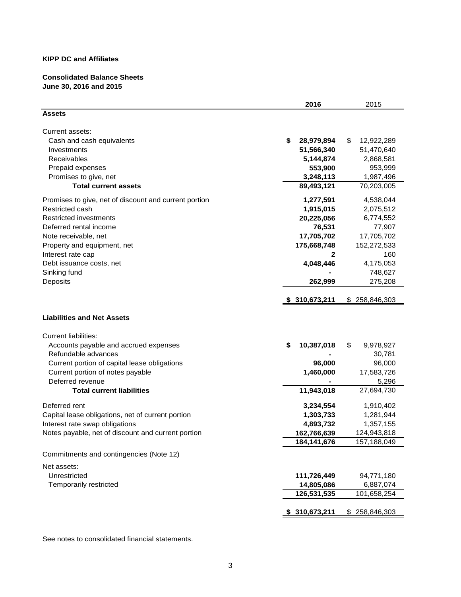## **Consolidated Balance Sheets June 30, 2016 and 2015**

|                                                       | 2016             | 2015             |
|-------------------------------------------------------|------------------|------------------|
| <b>Assets</b>                                         |                  |                  |
| Current assets:                                       |                  |                  |
| Cash and cash equivalents                             | \$<br>28,979,894 | \$<br>12,922,289 |
| Investments                                           | 51,566,340       | 51,470,640       |
| Receivables                                           | 5,144,874        | 2,868,581        |
| Prepaid expenses                                      | 553,900          | 953,999          |
| Promises to give, net                                 | 3,248,113        | 1,987,496        |
| <b>Total current assets</b>                           | 89,493,121       | 70,203,005       |
| Promises to give, net of discount and current portion | 1,277,591        | 4,538,044        |
| Restricted cash                                       | 1,915,015        | 2,075,512        |
| <b>Restricted investments</b>                         | 20,225,056       | 6,774,552        |
| Deferred rental income                                | 76,531           | 77,907           |
| Note receivable, net                                  | 17,705,702       | 17,705,702       |
| Property and equipment, net                           | 175,668,748      | 152,272,533      |
| Interest rate cap                                     | 2                | 160              |
| Debt issuance costs, net                              | 4,048,446        | 4,175,053        |
| Sinking fund                                          |                  | 748,627          |
| Deposits                                              | 262,999          | 275,208          |
|                                                       | \$310,673,211    | \$258,846,303    |
| <b>Liabilities and Net Assets</b>                     |                  |                  |
| Current liabilities:                                  |                  |                  |
| Accounts payable and accrued expenses                 | \$<br>10,387,018 | \$<br>9,978,927  |
| Refundable advances                                   |                  | 30,781           |
| Current portion of capital lease obligations          | 96,000           | 96,000           |
| Current portion of notes payable                      | 1,460,000        | 17,583,726       |
| Deferred revenue                                      |                  | 5,296            |
| <b>Total current liabilities</b>                      | 11,943,018       | 27,694,730       |
| Deferred rent                                         | 3,234,554        | 1,910,402        |
| Capital lease obligations, net of current portion     | 1,303,733        | 1,281,944        |
| Interest rate swap obligations                        | 4,893,732        | 1,357,155        |
| Notes payable, net of discount and current portion    | 162,766,639      | 124,943,818      |
|                                                       | 184, 141, 676    | 157,188,049      |
| Commitments and contingencies (Note 12)               |                  |                  |
| Net assets:                                           |                  |                  |
| Unrestricted                                          | 111,726,449      | 94,771,180       |
| Temporarily restricted                                | 14,805,086       | 6,887,074        |
|                                                       | 126,531,535      | 101,658,254      |
|                                                       |                  |                  |
|                                                       | \$310,673,211    | \$258,846,303    |

See notes to consolidated financial statements.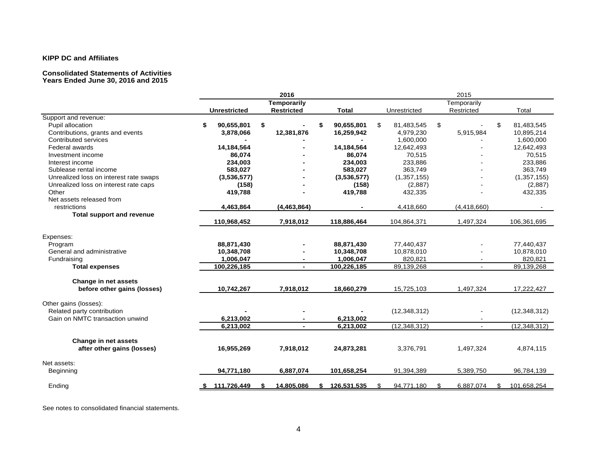#### **Consolidated Statements of Activities Years Ended June 30, 2016 and 2015**

|                                                     |                          | 2016                     |                  | 2015              |                  |                  |  |  |
|-----------------------------------------------------|--------------------------|--------------------------|------------------|-------------------|------------------|------------------|--|--|
|                                                     |                          | <b>Temporarily</b>       |                  |                   | Temporarily      |                  |  |  |
|                                                     | <b>Unrestricted</b>      | <b>Restricted</b>        | <b>Total</b>     | Unrestricted      | Restricted       | Total            |  |  |
| Support and revenue:                                |                          |                          |                  |                   |                  |                  |  |  |
| Pupil allocation                                    | 90,655,801               | \$                       | 90,655,801<br>\$ | \$.<br>81,483,545 | \$               | \$<br>81,483,545 |  |  |
| Contributions, grants and events                    | 3,878,066                | 12,381,876               | 16,259,942       | 4,979,230         | 5,915,984        | 10,895,214       |  |  |
| Contributed services                                |                          |                          |                  | 1,600,000         |                  | 1,600,000        |  |  |
| <b>Federal awards</b>                               | 14,184,564               |                          | 14,184,564       | 12,642,493        |                  | 12,642,493       |  |  |
| Investment income                                   | 86,074                   |                          | 86,074           | 70,515            |                  | 70,515           |  |  |
| Interest income                                     | 234,003                  |                          | 234,003          | 233,886           |                  | 233,886          |  |  |
| Sublease rental income                              | 583,027                  |                          | 583,027          | 363,749           |                  | 363,749          |  |  |
| Unrealized loss on interest rate swaps              | (3,536,577)              |                          | (3,536,577)      | (1, 357, 155)     |                  | (1,357,155)      |  |  |
| Unrealized loss on interest rate caps               | (158)                    |                          | (158)            | (2,887)           |                  | (2,887)          |  |  |
| Other                                               | 419,788                  |                          | 419,788          | 432,335           |                  | 432,335          |  |  |
| Net assets released from                            |                          |                          |                  |                   |                  |                  |  |  |
| restrictions                                        | 4,463,864                | (4,463,864)              |                  | 4,418,660         | (4,418,660)      |                  |  |  |
| <b>Total support and revenue</b>                    |                          |                          |                  |                   |                  |                  |  |  |
|                                                     | 110,968,452              | 7,918,012                | 118,886,464      | 104,864,371       | 1,497,324        | 106,361,695      |  |  |
|                                                     |                          |                          |                  |                   |                  |                  |  |  |
| Expenses:                                           |                          |                          |                  |                   |                  |                  |  |  |
| Program                                             | 88,871,430               |                          | 88,871,430       | 77,440,437        |                  | 77,440,437       |  |  |
| General and administrative                          | 10,348,708               |                          | 10,348,708       | 10,878,010        |                  | 10,878,010       |  |  |
| Fundraising                                         | 1,006,047                |                          | 1,006,047        | 820,821           |                  | 820,821          |  |  |
| <b>Total expenses</b>                               | 100,226,185              |                          | 100,226,185      | 89,139,268        |                  | 89,139,268       |  |  |
|                                                     |                          |                          |                  |                   |                  |                  |  |  |
| Change in net assets<br>before other gains (losses) | 10,742,267               | 7,918,012                | 18,660,279       | 15,725,103        | 1,497,324        | 17,222,427       |  |  |
|                                                     |                          |                          |                  |                   |                  |                  |  |  |
| Other gains (losses):                               |                          |                          |                  |                   |                  |                  |  |  |
| Related party contribution                          |                          |                          |                  | (12, 348, 312)    |                  | (12, 348, 312)   |  |  |
| Gain on NMTC transaction unwind                     | 6,213,002                |                          | 6,213,002        |                   |                  |                  |  |  |
|                                                     | 6,213,002                | $\overline{\phantom{0}}$ | 6,213,002        | (12, 348, 312)    | $\sim$           | (12, 348, 312)   |  |  |
|                                                     |                          |                          |                  |                   |                  |                  |  |  |
| Change in net assets                                |                          |                          |                  |                   |                  |                  |  |  |
| after other gains (losses)                          | 16,955,269               | 7,918,012                | 24,873,281       | 3,376,791         | 1,497,324        | 4,874,115        |  |  |
|                                                     |                          |                          |                  |                   |                  |                  |  |  |
| Net assets:                                         |                          |                          |                  |                   |                  |                  |  |  |
| Beginning                                           | 94,771,180               | 6,887,074                | 101,658,254      | 91,394,389        | 5,389,750        | 96,784,139       |  |  |
|                                                     |                          |                          |                  |                   |                  |                  |  |  |
| Ending                                              | 111,726,449<br><u>\$</u> | 14,805,086               | 126,531,535      | 94,771,180<br>\$. | 6,887,074<br>\$. | 101,658,254<br>S |  |  |

See notes to consolidated financial statements.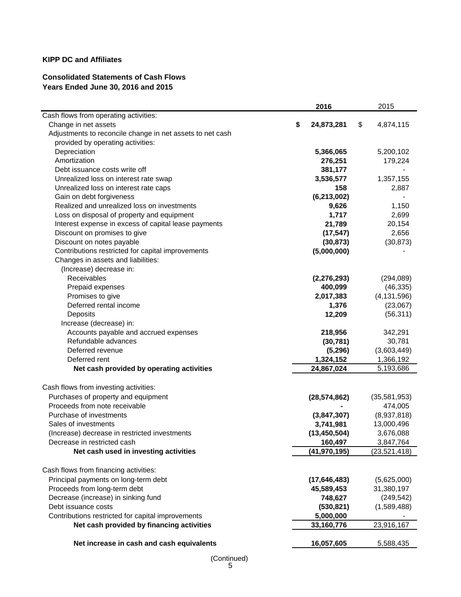# **Consolidated Statements of Cash Flows Years Ended June 30, 2016 and 2015**

|                                                           | 2016             | 2015            |
|-----------------------------------------------------------|------------------|-----------------|
| Cash flows from operating activities:                     |                  |                 |
| Change in net assets                                      | \$<br>24,873,281 | \$<br>4,874,115 |
| Adjustments to reconcile change in net assets to net cash |                  |                 |
| provided by operating activities:                         |                  |                 |
| Depreciation                                              | 5,366,065        | 5,200,102       |
| Amortization                                              | 276,251          | 179,224         |
| Debt issuance costs write off                             | 381,177          |                 |
| Unrealized loss on interest rate swap                     | 3,536,577        | 1,357,155       |
| Unrealized loss on interest rate caps                     | 158              | 2,887           |
| Gain on debt forgiveness                                  | (6, 213, 002)    |                 |
| Realized and unrealized loss on investments               | 9,626            | 1,150           |
| Loss on disposal of property and equipment                | 1,717            | 2,699           |
| Interest expense in excess of capital lease payments      | 21,789           | 20,154          |
| Discount on promises to give                              | (17, 547)        | 2,656           |
| Discount on notes payable                                 | (30, 873)        | (30, 873)       |
| Contributions restricted for capital improvements         | (5,000,000)      |                 |
| Changes in assets and liabilities:                        |                  |                 |
| (Increase) decrease in:                                   |                  |                 |
| Receivables                                               | (2, 276, 293)    | (294, 089)      |
| Prepaid expenses                                          | 400,099          | (46, 335)       |
| Promises to give                                          | 2,017,383        | (4, 131, 596)   |
| Deferred rental income                                    | 1,376            | (23,067)        |
| Deposits                                                  | 12,209           | (56, 311)       |
| Increase (decrease) in:                                   |                  |                 |
| Accounts payable and accrued expenses                     | 218,956          | 342,291         |
| Refundable advances                                       | (30, 781)        | 30,781          |
| Deferred revenue                                          | (5,296)          | (3,603,449)     |
| Deferred rent                                             | 1,324,152        | 1,366,192       |
| Net cash provided by operating activities                 | 24,867,024       | 5,193,686       |
|                                                           |                  |                 |
| Cash flows from investing activities:                     |                  |                 |
| Purchases of property and equipment                       | (28, 574, 862)   | (35,581,953)    |
| Proceeds from note receivable                             |                  | 474,005         |
| Purchase of investments                                   | (3,847,307)      | (8,937,818)     |
| Sales of investments                                      | 3,741,981        | 13,000,496      |
| (Increase) decrease in restricted investments             | (13, 450, 504)   | 3,676,088       |
| Decrease in restricted cash                               | 160,497          | 3,847,764       |
| Net cash used in investing activities                     | (41, 970, 195)   | (23, 521, 418)  |
|                                                           |                  |                 |
| Cash flows from financing activities:                     |                  |                 |
| Principal payments on long-term debt                      | (17, 646, 483)   | (5,625,000)     |
| Proceeds from long-term debt                              | 45,589,453       | 31,380,197      |
| Decrease (increase) in sinking fund                       | 748,627          | (249, 542)      |
| Debt issuance costs                                       | (530, 821)       | (1,589,488)     |
| Contributions restricted for capital improvements         | 5,000,000        |                 |
| Net cash provided by financing activities                 | 33,160,776       | 23,916,167      |
| Net increase in cash and cash equivalents                 | 16,057,605       | 5,588,435       |
|                                                           |                  |                 |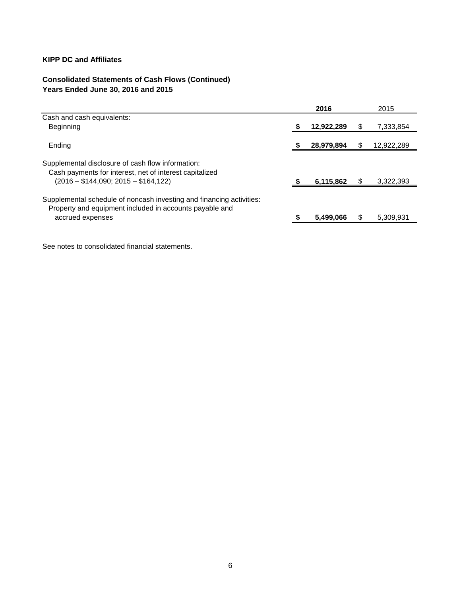# **Consolidated Statements of Cash Flows (Continued) Years Ended June 30, 2016 and 2015**

| 2016 |            |  | 2015       |
|------|------------|--|------------|
|      |            |  |            |
| - 55 | 12,922,289 |  | 7,333,854  |
|      | 28,979,894 |  | 12,922,289 |
|      | 6.115.862  |  | 3,322,393  |
|      | 5,499,066  |  | 5,309,931  |
|      |            |  |            |

See notes to consolidated financial statements.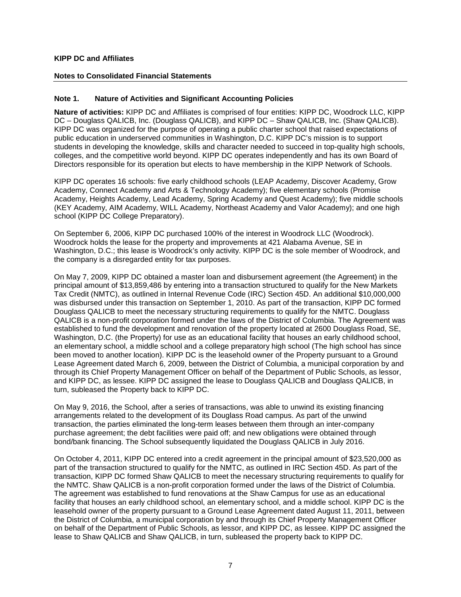### **Notes to Consolidated Financial Statements**

### **Note 1. Nature of Activities and Significant Accounting Policies**

**Nature of activities:** KIPP DC and Affiliates is comprised of four entities: KIPP DC, Woodrock LLC, KIPP DC – Douglass QALICB, Inc. (Douglass QALICB), and KIPP DC – Shaw QALICB, Inc. (Shaw QALICB). KIPP DC was organized for the purpose of operating a public charter school that raised expectations of public education in underserved communities in Washington, D.C. KIPP DC's mission is to support students in developing the knowledge, skills and character needed to succeed in top-quality high schools, colleges, and the competitive world beyond. KIPP DC operates independently and has its own Board of Directors responsible for its operation but elects to have membership in the KIPP Network of Schools.

KIPP DC operates 16 schools: five early childhood schools (LEAP Academy, Discover Academy, Grow Academy, Connect Academy and Arts & Technology Academy); five elementary schools (Promise Academy, Heights Academy, Lead Academy, Spring Academy and Quest Academy); five middle schools (KEY Academy, AIM Academy, WILL Academy, Northeast Academy and Valor Academy); and one high school (KIPP DC College Preparatory).

On September 6, 2006, KIPP DC purchased 100% of the interest in Woodrock LLC (Woodrock). Woodrock holds the lease for the property and improvements at 421 Alabama Avenue, SE in Washington, D.C.; this lease is Woodrock's only activity. KIPP DC is the sole member of Woodrock, and the company is a disregarded entity for tax purposes.

On May 7, 2009, KIPP DC obtained a master loan and disbursement agreement (the Agreement) in the principal amount of \$13,859,486 by entering into a transaction structured to qualify for the New Markets Tax Credit (NMTC), as outlined in Internal Revenue Code (IRC) Section 45D. An additional \$10,000,000 was disbursed under this transaction on September 1, 2010. As part of the transaction, KIPP DC formed Douglass QALICB to meet the necessary structuring requirements to qualify for the NMTC. Douglass QALICB is a non-profit corporation formed under the laws of the District of Columbia. The Agreement was established to fund the development and renovation of the property located at 2600 Douglass Road, SE, Washington, D.C. (the Property) for use as an educational facility that houses an early childhood school, an elementary school, a middle school and a college preparatory high school (The high school has since been moved to another location). KIPP DC is the leasehold owner of the Property pursuant to a Ground Lease Agreement dated March 6, 2009, between the District of Columbia, a municipal corporation by and through its Chief Property Management Officer on behalf of the Department of Public Schools, as lessor, and KIPP DC, as lessee. KIPP DC assigned the lease to Douglass QALICB and Douglass QALICB, in turn, subleased the Property back to KIPP DC.

On May 9, 2016, the School, after a series of transactions, was able to unwind its existing financing arrangements related to the development of its Douglass Road campus. As part of the unwind transaction, the parties eliminated the long-term leases between them through an inter-company purchase agreement; the debt facilities were paid off; and new obligations were obtained through bond/bank financing. The School subsequently liquidated the Douglass QALICB in July 2016.

On October 4, 2011, KIPP DC entered into a credit agreement in the principal amount of \$23,520,000 as part of the transaction structured to qualify for the NMTC, as outlined in IRC Section 45D. As part of the transaction, KIPP DC formed Shaw QALICB to meet the necessary structuring requirements to qualify for the NMTC. Shaw QALICB is a non-profit corporation formed under the laws of the District of Columbia. The agreement was established to fund renovations at the Shaw Campus for use as an educational facility that houses an early childhood school, an elementary school, and a middle school. KIPP DC is the leasehold owner of the property pursuant to a Ground Lease Agreement dated August 11, 2011, between the District of Columbia, a municipal corporation by and through its Chief Property Management Officer on behalf of the Department of Public Schools, as lessor, and KIPP DC, as lessee. KIPP DC assigned the lease to Shaw QALICB and Shaw QALICB, in turn, subleased the property back to KIPP DC.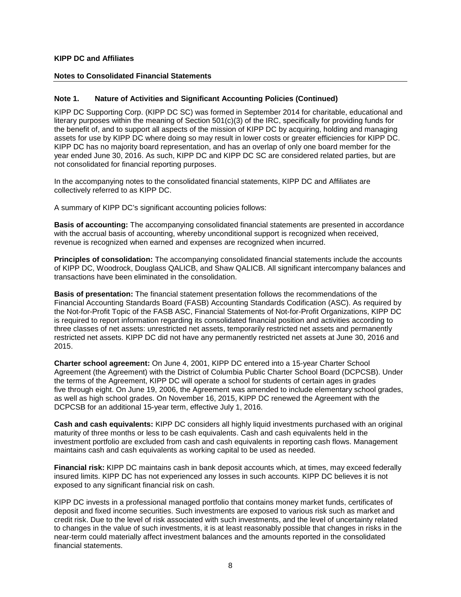### **Notes to Consolidated Financial Statements**

### **Note 1. Nature of Activities and Significant Accounting Policies (Continued)**

KIPP DC Supporting Corp. (KIPP DC SC) was formed in September 2014 for charitable, educational and literary purposes within the meaning of Section 501(c)(3) of the IRC, specifically for providing funds for the benefit of, and to support all aspects of the mission of KIPP DC by acquiring, holding and managing assets for use by KIPP DC where doing so may result in lower costs or greater efficiencies for KIPP DC. KIPP DC has no majority board representation, and has an overlap of only one board member for the year ended June 30, 2016. As such, KIPP DC and KIPP DC SC are considered related parties, but are not consolidated for financial reporting purposes.

In the accompanying notes to the consolidated financial statements, KIPP DC and Affiliates are collectively referred to as KIPP DC.

A summary of KIPP DC's significant accounting policies follows:

**Basis of accounting:** The accompanying consolidated financial statements are presented in accordance with the accrual basis of accounting, whereby unconditional support is recognized when received, revenue is recognized when earned and expenses are recognized when incurred.

**Principles of consolidation:** The accompanying consolidated financial statements include the accounts of KIPP DC, Woodrock, Douglass QALICB, and Shaw QALICB. All significant intercompany balances and transactions have been eliminated in the consolidation.

**Basis of presentation:** The financial statement presentation follows the recommendations of the Financial Accounting Standards Board (FASB) Accounting Standards Codification (ASC). As required by the Not-for-Profit Topic of the FASB ASC, Financial Statements of Not-for-Profit Organizations, KIPP DC is required to report information regarding its consolidated financial position and activities according to three classes of net assets: unrestricted net assets, temporarily restricted net assets and permanently restricted net assets. KIPP DC did not have any permanently restricted net assets at June 30, 2016 and 2015.

**Charter school agreement:** On June 4, 2001, KIPP DC entered into a 15-year Charter School Agreement (the Agreement) with the District of Columbia Public Charter School Board (DCPCSB). Under the terms of the Agreement, KIPP DC will operate a school for students of certain ages in grades five through eight. On June 19, 2006, the Agreement was amended to include elementary school grades, as well as high school grades. On November 16, 2015, KIPP DC renewed the Agreement with the DCPCSB for an additional 15-year term, effective July 1, 2016.

**Cash and cash equivalents:** KIPP DC considers all highly liquid investments purchased with an original maturity of three months or less to be cash equivalents. Cash and cash equivalents held in the investment portfolio are excluded from cash and cash equivalents in reporting cash flows. Management maintains cash and cash equivalents as working capital to be used as needed.

**Financial risk:** KIPP DC maintains cash in bank deposit accounts which, at times, may exceed federally insured limits. KIPP DC has not experienced any losses in such accounts. KIPP DC believes it is not exposed to any significant financial risk on cash.

KIPP DC invests in a professional managed portfolio that contains money market funds, certificates of deposit and fixed income securities. Such investments are exposed to various risk such as market and credit risk. Due to the level of risk associated with such investments, and the level of uncertainty related to changes in the value of such investments, it is at least reasonably possible that changes in risks in the near-term could materially affect investment balances and the amounts reported in the consolidated financial statements.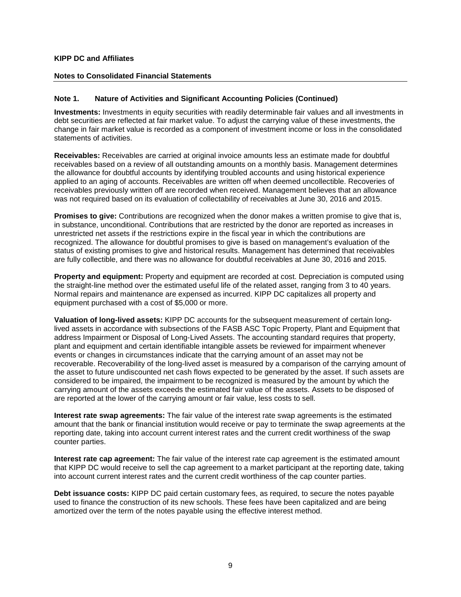### **Notes to Consolidated Financial Statements**

### **Note 1. Nature of Activities and Significant Accounting Policies (Continued)**

**Investments:** Investments in equity securities with readily determinable fair values and all investments in debt securities are reflected at fair market value. To adjust the carrying value of these investments, the change in fair market value is recorded as a component of investment income or loss in the consolidated statements of activities.

**Receivables:** Receivables are carried at original invoice amounts less an estimate made for doubtful receivables based on a review of all outstanding amounts on a monthly basis. Management determines the allowance for doubtful accounts by identifying troubled accounts and using historical experience applied to an aging of accounts. Receivables are written off when deemed uncollectible. Recoveries of receivables previously written off are recorded when received. Management believes that an allowance was not required based on its evaluation of collectability of receivables at June 30, 2016 and 2015.

**Promises to give:** Contributions are recognized when the donor makes a written promise to give that is, in substance, unconditional. Contributions that are restricted by the donor are reported as increases in unrestricted net assets if the restrictions expire in the fiscal year in which the contributions are recognized. The allowance for doubtful promises to give is based on management's evaluation of the status of existing promises to give and historical results. Management has determined that receivables are fully collectible, and there was no allowance for doubtful receivables at June 30, 2016 and 2015.

**Property and equipment:** Property and equipment are recorded at cost. Depreciation is computed using the straight-line method over the estimated useful life of the related asset, ranging from 3 to 40 years. Normal repairs and maintenance are expensed as incurred. KIPP DC capitalizes all property and equipment purchased with a cost of \$5,000 or more.

**Valuation of long-lived assets:** KIPP DC accounts for the subsequent measurement of certain longlived assets in accordance with subsections of the FASB ASC Topic Property, Plant and Equipment that address Impairment or Disposal of Long-Lived Assets. The accounting standard requires that property, plant and equipment and certain identifiable intangible assets be reviewed for impairment whenever events or changes in circumstances indicate that the carrying amount of an asset may not be recoverable. Recoverability of the long-lived asset is measured by a comparison of the carrying amount of the asset to future undiscounted net cash flows expected to be generated by the asset. If such assets are considered to be impaired, the impairment to be recognized is measured by the amount by which the carrying amount of the assets exceeds the estimated fair value of the assets. Assets to be disposed of are reported at the lower of the carrying amount or fair value, less costs to sell.

**Interest rate swap agreements:** The fair value of the interest rate swap agreements is the estimated amount that the bank or financial institution would receive or pay to terminate the swap agreements at the reporting date, taking into account current interest rates and the current credit worthiness of the swap counter parties.

**Interest rate cap agreement:** The fair value of the interest rate cap agreement is the estimated amount that KIPP DC would receive to sell the cap agreement to a market participant at the reporting date, taking into account current interest rates and the current credit worthiness of the cap counter parties.

**Debt issuance costs:** KIPP DC paid certain customary fees, as required, to secure the notes payable used to finance the construction of its new schools. These fees have been capitalized and are being amortized over the term of the notes payable using the effective interest method.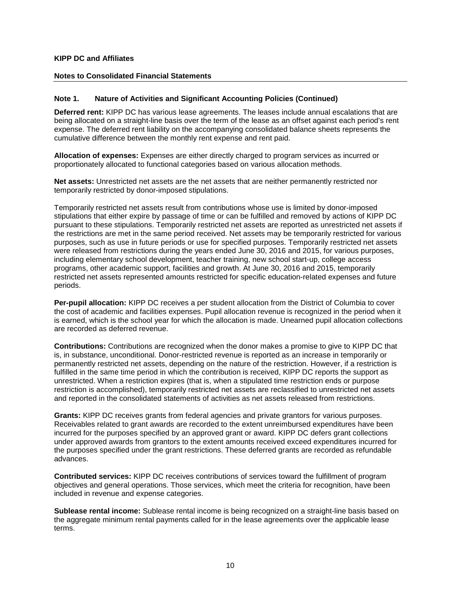#### **Notes to Consolidated Financial Statements**

### **Note 1. Nature of Activities and Significant Accounting Policies (Continued)**

**Deferred rent:** KIPP DC has various lease agreements. The leases include annual escalations that are being allocated on a straight-line basis over the term of the lease as an offset against each period's rent expense. The deferred rent liability on the accompanying consolidated balance sheets represents the cumulative difference between the monthly rent expense and rent paid.

**Allocation of expenses:** Expenses are either directly charged to program services as incurred or proportionately allocated to functional categories based on various allocation methods.

**Net assets:** Unrestricted net assets are the net assets that are neither permanently restricted nor temporarily restricted by donor-imposed stipulations.

Temporarily restricted net assets result from contributions whose use is limited by donor-imposed stipulations that either expire by passage of time or can be fulfilled and removed by actions of KIPP DC pursuant to these stipulations. Temporarily restricted net assets are reported as unrestricted net assets if the restrictions are met in the same period received. Net assets may be temporarily restricted for various purposes, such as use in future periods or use for specified purposes. Temporarily restricted net assets were released from restrictions during the years ended June 30, 2016 and 2015, for various purposes, including elementary school development, teacher training, new school start-up, college access programs, other academic support, facilities and growth. At June 30, 2016 and 2015, temporarily restricted net assets represented amounts restricted for specific education-related expenses and future periods.

**Per-pupil allocation:** KIPP DC receives a per student allocation from the District of Columbia to cover the cost of academic and facilities expenses. Pupil allocation revenue is recognized in the period when it is earned, which is the school year for which the allocation is made. Unearned pupil allocation collections are recorded as deferred revenue.

**Contributions:** Contributions are recognized when the donor makes a promise to give to KIPP DC that is, in substance, unconditional. Donor-restricted revenue is reported as an increase in temporarily or permanently restricted net assets, depending on the nature of the restriction. However, if a restriction is fulfilled in the same time period in which the contribution is received, KIPP DC reports the support as unrestricted. When a restriction expires (that is, when a stipulated time restriction ends or purpose restriction is accomplished), temporarily restricted net assets are reclassified to unrestricted net assets and reported in the consolidated statements of activities as net assets released from restrictions.

**Grants:** KIPP DC receives grants from federal agencies and private grantors for various purposes. Receivables related to grant awards are recorded to the extent unreimbursed expenditures have been incurred for the purposes specified by an approved grant or award. KIPP DC defers grant collections under approved awards from grantors to the extent amounts received exceed expenditures incurred for the purposes specified under the grant restrictions. These deferred grants are recorded as refundable advances.

**Contributed services:** KIPP DC receives contributions of services toward the fulfillment of program objectives and general operations. Those services, which meet the criteria for recognition, have been included in revenue and expense categories.

**Sublease rental income:** Sublease rental income is being recognized on a straight-line basis based on the aggregate minimum rental payments called for in the lease agreements over the applicable lease terms.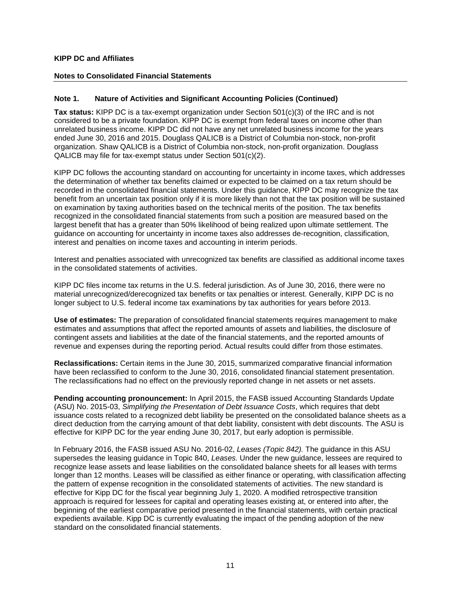### **Notes to Consolidated Financial Statements**

### **Note 1. Nature of Activities and Significant Accounting Policies (Continued)**

**Tax status:** KIPP DC is a tax-exempt organization under Section 501(c)(3) of the IRC and is not considered to be a private foundation. KIPP DC is exempt from federal taxes on income other than unrelated business income. KIPP DC did not have any net unrelated business income for the years ended June 30, 2016 and 2015. Douglass QALICB is a District of Columbia non-stock, non-profit organization. Shaw QALICB is a District of Columbia non-stock, non-profit organization. Douglass QALICB may file for tax-exempt status under Section 501(c)(2).

KIPP DC follows the accounting standard on accounting for uncertainty in income taxes, which addresses the determination of whether tax benefits claimed or expected to be claimed on a tax return should be recorded in the consolidated financial statements. Under this guidance, KIPP DC may recognize the tax benefit from an uncertain tax position only if it is more likely than not that the tax position will be sustained on examination by taxing authorities based on the technical merits of the position. The tax benefits recognized in the consolidated financial statements from such a position are measured based on the largest benefit that has a greater than 50% likelihood of being realized upon ultimate settlement. The guidance on accounting for uncertainty in income taxes also addresses de-recognition, classification, interest and penalties on income taxes and accounting in interim periods.

Interest and penalties associated with unrecognized tax benefits are classified as additional income taxes in the consolidated statements of activities.

KIPP DC files income tax returns in the U.S. federal jurisdiction. As of June 30, 2016, there were no material unrecognized/derecognized tax benefits or tax penalties or interest. Generally, KIPP DC is no longer subject to U.S. federal income tax examinations by tax authorities for years before 2013.

**Use of estimates:** The preparation of consolidated financial statements requires management to make estimates and assumptions that affect the reported amounts of assets and liabilities, the disclosure of contingent assets and liabilities at the date of the financial statements, and the reported amounts of revenue and expenses during the reporting period. Actual results could differ from those estimates.

**Reclassifications:** Certain items in the June 30, 2015, summarized comparative financial information have been reclassified to conform to the June 30, 2016, consolidated financial statement presentation. The reclassifications had no effect on the previously reported change in net assets or net assets.

**Pending accounting pronouncement:** In April 2015, the FASB issued Accounting Standards Update (ASU) No. 2015-03, *Simplifying the Presentation of Debt Issuance Costs*, which requires that debt issuance costs related to a recognized debt liability be presented on the consolidated balance sheets as a direct deduction from the carrying amount of that debt liability, consistent with debt discounts. The ASU is effective for KIPP DC for the year ending June 30, 2017, but early adoption is permissible.

In February 2016, the FASB issued ASU No. 2016-02, *Leases (Topic 842).* The guidance in this ASU supersedes the leasing guidance in Topic 840, *Leases.* Under the new guidance, lessees are required to recognize lease assets and lease liabilities on the consolidated balance sheets for all leases with terms longer than 12 months. Leases will be classified as either finance or operating, with classification affecting the pattern of expense recognition in the consolidated statements of activities. The new standard is effective for Kipp DC for the fiscal year beginning July 1, 2020. A modified retrospective transition approach is required for lessees for capital and operating leases existing at, or entered into after, the beginning of the earliest comparative period presented in the financial statements, with certain practical expedients available. Kipp DC is currently evaluating the impact of the pending adoption of the new standard on the consolidated financial statements.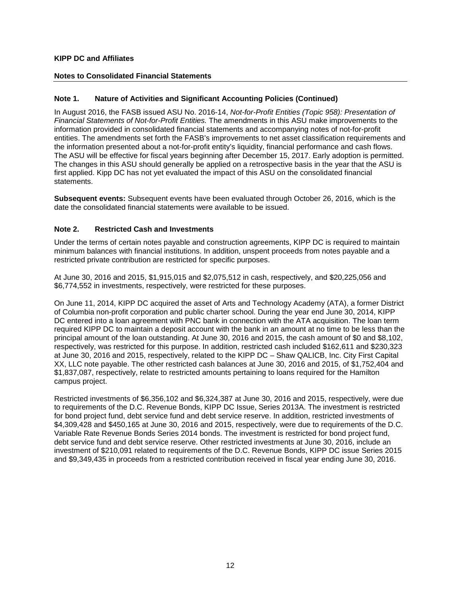### **Notes to Consolidated Financial Statements**

### **Note 1. Nature of Activities and Significant Accounting Policies (Continued)**

In August 2016, the FASB issued ASU No. 2016-14, *Not-for-Profit Entities (Topic 958): Presentation of Financial Statements of Not-for-Profit Entities.* The amendments in this ASU make improvements to the information provided in consolidated financial statements and accompanying notes of not-for-profit entities. The amendments set forth the FASB's improvements to net asset classification requirements and the information presented about a not-for-profit entity's liquidity, financial performance and cash flows. The ASU will be effective for fiscal years beginning after December 15, 2017. Early adoption is permitted. The changes in this ASU should generally be applied on a retrospective basis in the year that the ASU is first applied. Kipp DC has not yet evaluated the impact of this ASU on the consolidated financial statements.

**Subsequent events:** Subsequent events have been evaluated through October 26, 2016, which is the date the consolidated financial statements were available to be issued.

### **Note 2. Restricted Cash and Investments**

Under the terms of certain notes payable and construction agreements, KIPP DC is required to maintain minimum balances with financial institutions. In addition, unspent proceeds from notes payable and a restricted private contribution are restricted for specific purposes.

At June 30, 2016 and 2015, \$1,915,015 and \$2,075,512 in cash, respectively, and \$20,225,056 and \$6,774,552 in investments, respectively, were restricted for these purposes.

On June 11, 2014, KIPP DC acquired the asset of Arts and Technology Academy (ATA), a former District of Columbia non-profit corporation and public charter school. During the year end June 30, 2014, KIPP DC entered into a loan agreement with PNC bank in connection with the ATA acquisition. The loan term required KIPP DC to maintain a deposit account with the bank in an amount at no time to be less than the principal amount of the loan outstanding. At June 30, 2016 and 2015, the cash amount of \$0 and \$8,102, respectively, was restricted for this purpose. In addition, restricted cash included \$162,611 and \$230,323 at June 30, 2016 and 2015, respectively, related to the KIPP DC – Shaw QALICB, Inc. City First Capital XX, LLC note payable. The other restricted cash balances at June 30, 2016 and 2015, of \$1,752,404 and \$1,837,087, respectively, relate to restricted amounts pertaining to loans required for the Hamilton campus project.

Restricted investments of \$6,356,102 and \$6,324,387 at June 30, 2016 and 2015, respectively, were due to requirements of the D.C. Revenue Bonds, KIPP DC Issue, Series 2013A. The investment is restricted for bond project fund, debt service fund and debt service reserve. In addition, restricted investments of \$4,309,428 and \$450,165 at June 30, 2016 and 2015, respectively, were due to requirements of the D.C. Variable Rate Revenue Bonds Series 2014 bonds. The investment is restricted for bond project fund, debt service fund and debt service reserve. Other restricted investments at June 30, 2016, include an investment of \$210,091 related to requirements of the D.C. Revenue Bonds, KIPP DC issue Series 2015 and \$9,349,435 in proceeds from a restricted contribution received in fiscal year ending June 30, 2016.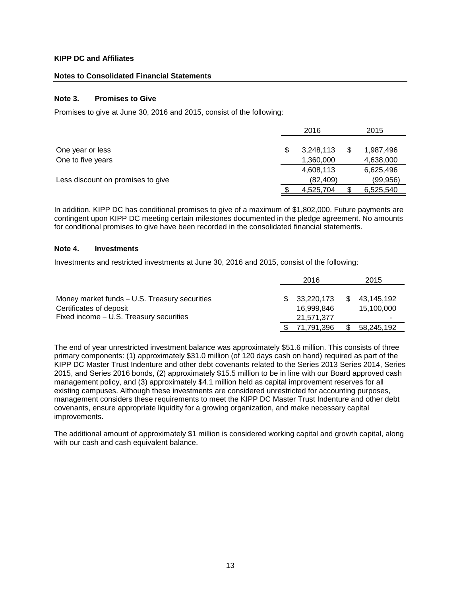### **Notes to Consolidated Financial Statements**

### **Note 3. Promises to Give**

Promises to give at June 30, 2016 and 2015, consist of the following:

|                                   | 2016 |           |  | 2015      |  |  |
|-----------------------------------|------|-----------|--|-----------|--|--|
|                                   |      |           |  |           |  |  |
| One year or less                  |      | 3,248,113 |  | 1,987,496 |  |  |
| One to five years                 |      | 1,360,000 |  | 4,638,000 |  |  |
|                                   |      | 4,608,113 |  | 6,625,496 |  |  |
| Less discount on promises to give |      | (82, 409) |  | (99, 956) |  |  |
|                                   |      | 4,525,704 |  | 6,525,540 |  |  |

In addition, KIPP DC has conditional promises to give of a maximum of \$1,802,000. Future payments are contingent upon KIPP DC meeting certain milestones documented in the pledge agreement. No amounts for conditional promises to give have been recorded in the consolidated financial statements.

### **Note 4. Investments**

Investments and restricted investments at June 30, 2016 and 2015, consist of the following:

|                                                                                                                     | 2016                                   |   | 2015                     |
|---------------------------------------------------------------------------------------------------------------------|----------------------------------------|---|--------------------------|
| Money market funds – U.S. Treasury securities<br>Certificates of deposit<br>Fixed income - U.S. Treasury securities | 33,220,173<br>16.999.846<br>21,571,377 | S | 43,145,192<br>15,100,000 |
|                                                                                                                     | 71,791,396                             |   | 58,245,192               |

The end of year unrestricted investment balance was approximately \$51.6 million. This consists of three primary components: (1) approximately \$31.0 million (of 120 days cash on hand) required as part of the KIPP DC Master Trust Indenture and other debt covenants related to the Series 2013 Series 2014, Series 2015, and Series 2016 bonds, (2) approximately \$15.5 million to be in line with our Board approved cash management policy, and (3) approximately \$4.1 million held as capital improvement reserves for all existing campuses. Although these investments are considered unrestricted for accounting purposes, management considers these requirements to meet the KIPP DC Master Trust Indenture and other debt covenants, ensure appropriate liquidity for a growing organization, and make necessary capital improvements.

The additional amount of approximately \$1 million is considered working capital and growth capital, along with our cash and cash equivalent balance.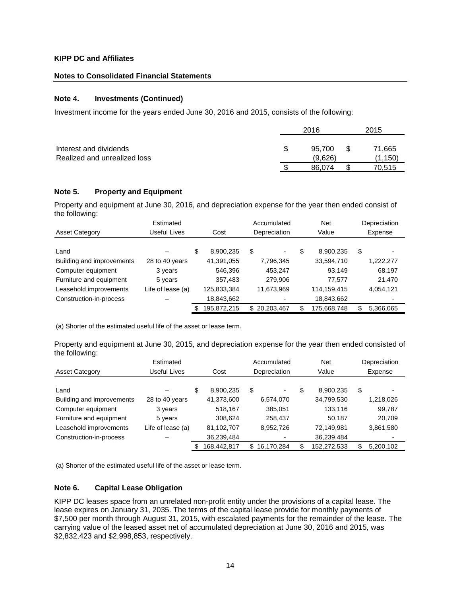### **Notes to Consolidated Financial Statements**

### **Note 4. Investments (Continued)**

Investment income for the years ended June 30, 2016 and 2015, consists of the following:

|                                                        |   | 2016              | 2015 |                   |  |
|--------------------------------------------------------|---|-------------------|------|-------------------|--|
| Interest and dividends<br>Realized and unrealized loss |   | 95.700<br>(9,626) |      | 71,665<br>(1,150) |  |
|                                                        | œ | 86.074            |      | 70.515            |  |

### **Note 5. Property and Equipment**

Property and equipment at June 30, 2016, and depreciation expense for the year then ended consist of the following:

|                           | Estimated<br>Accumulated |    | <b>Net</b>  |              | Depreciation |                 |         |           |
|---------------------------|--------------------------|----|-------------|--------------|--------------|-----------------|---------|-----------|
| <b>Asset Category</b>     | Useful Lives             |    | Cost        | Depreciation |              | Value           | Expense |           |
|                           |                          |    |             |              |              |                 |         |           |
| Land                      |                          | \$ | 8,900,235   | \$           |              | \$<br>8.900.235 | \$      |           |
| Building and improvements | 28 to 40 years           |    | 41,391,055  |              | 7,796,345    | 33,594,710      |         | 1,222,277 |
| Computer equipment        | 3 years                  |    | 546.396     |              | 453.247      | 93,149          |         | 68,197    |
| Furniture and equipment   | 5 years                  |    | 357.483     |              | 279,906      | 77,577          |         | 21,470    |
| Leasehold improvements    | Life of lease (a)        |    | 125,833,384 |              | 11,673,969   | 114,159,415     |         | 4,054,121 |
| Construction-in-process   |                          |    | 18,843,662  |              |              | 18,843,662      |         |           |
|                           |                          | \$ | 195,872,215 |              | \$20,203,467 | 175,668,748     |         | 5,366,065 |

(a) Shorter of the estimated useful life of the asset or lease term.

Property and equipment at June 30, 2015, and depreciation expense for the year then ended consisted of the following:

|                           | Estimated         | Accumulated |             |              | Net        |   | Depreciation |    |           |  |  |  |  |       |  |  |         |
|---------------------------|-------------------|-------------|-------------|--------------|------------|---|--------------|----|-----------|--|--|--|--|-------|--|--|---------|
| <b>Asset Category</b>     | Useful Lives      |             | Cost        | Depreciation |            |   |              |    |           |  |  |  |  | Value |  |  | Expense |
|                           |                   |             |             |              |            |   |              |    |           |  |  |  |  |       |  |  |         |
| Land                      |                   | \$          | 8,900,235   | \$           | ٠          | S | 8,900,235    | \$ |           |  |  |  |  |       |  |  |         |
| Building and improvements | 28 to 40 years    |             | 41,373,600  |              | 6,574,070  |   | 34,799,530   |    | 1,218,026 |  |  |  |  |       |  |  |         |
| Computer equipment        | 3 years           |             | 518,167     |              | 385,051    |   | 133,116      |    | 99,787    |  |  |  |  |       |  |  |         |
| Furniture and equipment   | 5 years           |             | 308.624     |              | 258,437    |   | 50.187       |    | 20,709    |  |  |  |  |       |  |  |         |
| Leasehold improvements    | Life of lease (a) |             | 81,102,707  |              | 8,952,726  |   | 72,149,981   |    | 3,861,580 |  |  |  |  |       |  |  |         |
| Construction-in-process   |                   |             | 36,239,484  |              |            |   | 36,239,484   |    |           |  |  |  |  |       |  |  |         |
|                           |                   |             | 168,442,817 | \$.          | 16,170,284 |   | 152,272,533  |    | 5,200,102 |  |  |  |  |       |  |  |         |

(a) Shorter of the estimated useful life of the asset or lease term.

## **Note 6. Capital Lease Obligation**

KIPP DC leases space from an unrelated non-profit entity under the provisions of a capital lease. The lease expires on January 31, 2035. The terms of the capital lease provide for monthly payments of \$7,500 per month through August 31, 2015, with escalated payments for the remainder of the lease. The carrying value of the leased asset net of accumulated depreciation at June 30, 2016 and 2015, was \$2,832,423 and \$2,998,853, respectively.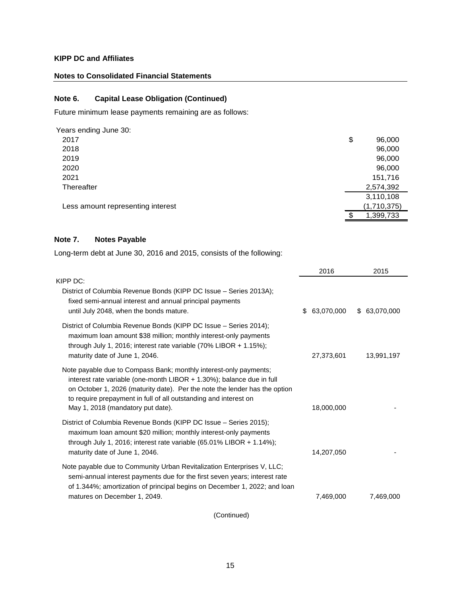# **Notes to Consolidated Financial Statements**

# **Note 6. Capital Lease Obligation (Continued)**

Future minimum lease payments remaining are as follows:

| Years ending June 30:             |    |             |
|-----------------------------------|----|-------------|
| 2017                              | \$ | 96,000      |
| 2018                              |    | 96,000      |
| 2019                              |    | 96,000      |
| 2020                              |    | 96,000      |
| 2021                              |    | 151,716     |
| Thereafter                        |    | 2,574,392   |
|                                   |    | 3,110,108   |
| Less amount representing interest |    | (1,710,375) |
|                                   | c  | 1,399,733   |

# **Note 7. Notes Payable**

Long-term debt at June 30, 2016 and 2015, consists of the following:

|                                                                                                                                                                                                                                                                                                                                   | 2016              | 2015          |
|-----------------------------------------------------------------------------------------------------------------------------------------------------------------------------------------------------------------------------------------------------------------------------------------------------------------------------------|-------------------|---------------|
| KIPP DC:                                                                                                                                                                                                                                                                                                                          |                   |               |
| District of Columbia Revenue Bonds (KIPP DC Issue - Series 2013A);<br>fixed semi-annual interest and annual principal payments<br>until July 2048, when the bonds mature.                                                                                                                                                         | 63,070,000<br>\$. | \$ 63,070,000 |
| District of Columbia Revenue Bonds (KIPP DC Issue - Series 2014);<br>maximum loan amount \$38 million; monthly interest-only payments<br>through July 1, 2016; interest rate variable $(70\%$ LIBOR + 1.15%);<br>maturity date of June 1, 2046.                                                                                   | 27,373,601        | 13,991,197    |
| Note payable due to Compass Bank; monthly interest-only payments;<br>interest rate variable (one-month LIBOR + 1.30%); balance due in full<br>on October 1, 2026 (maturity date). Per the note the lender has the option<br>to require prepayment in full of all outstanding and interest on<br>May 1, 2018 (mandatory put date). | 18,000,000        |               |
| District of Columbia Revenue Bonds (KIPP DC Issue - Series 2015);<br>maximum loan amount \$20 million; monthly interest-only payments<br>through July 1, 2016; interest rate variable $(65.01\%$ LIBOR + 1.14%);<br>maturity date of June 1, 2046.                                                                                | 14,207,050        |               |
| Note payable due to Community Urban Revitalization Enterprises V, LLC;<br>semi-annual interest payments due for the first seven years; interest rate<br>of 1.344%; amortization of principal begins on December 1, 2022; and loan<br>matures on December 1, 2049.                                                                 | 7,469,000         | 7,469,000     |

(Continued)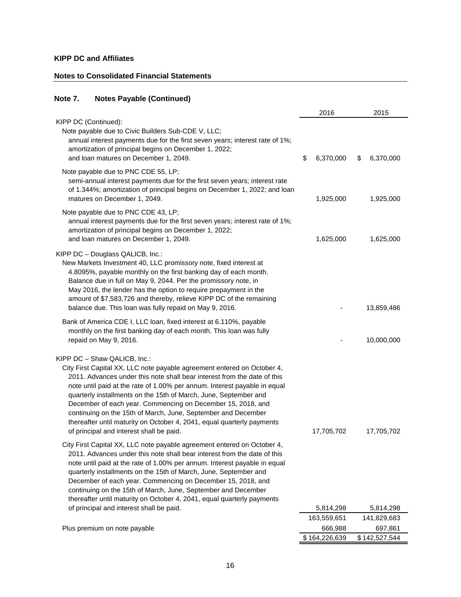# **Notes to Consolidated Financial Statements**

# **Note 7. Notes Payable (Continued)**

|                                                                                                                                                                                                                                                                                                                                                                                                                                                                                                                                                                                            | 2016            | 2015            |
|--------------------------------------------------------------------------------------------------------------------------------------------------------------------------------------------------------------------------------------------------------------------------------------------------------------------------------------------------------------------------------------------------------------------------------------------------------------------------------------------------------------------------------------------------------------------------------------------|-----------------|-----------------|
| KIPP DC (Continued):<br>Note payable due to Civic Builders Sub-CDE V, LLC;<br>annual interest payments due for the first seven years; interest rate of 1%;<br>amortization of principal begins on December 1, 2022;<br>and loan matures on December 1, 2049.                                                                                                                                                                                                                                                                                                                               | \$<br>6,370,000 | \$<br>6,370,000 |
| Note payable due to PNC CDE 55, LP;<br>semi-annual interest payments due for the first seven years; interest rate<br>of 1.344%; amortization of principal begins on December 1, 2022; and loan<br>matures on December 1, 2049.                                                                                                                                                                                                                                                                                                                                                             | 1,925,000       | 1,925,000       |
| Note payable due to PNC CDE 43, LP;<br>annual interest payments due for the first seven years; interest rate of 1%;<br>amortization of principal begins on December 1, 2022;<br>and loan matures on December 1, 2049.                                                                                                                                                                                                                                                                                                                                                                      | 1,625,000       | 1,625,000       |
| KIPP DC - Douglass QALICB, Inc.:<br>New Markets Investment 40, LLC promissory note, fixed interest at<br>4.8095%, payable monthly on the first banking day of each month.<br>Balance due in full on May 9, 2044. Per the promissory note, in<br>May 2016, the lender has the option to require prepayment in the<br>amount of \$7,583,726 and thereby, relieve KIPP DC of the remaining<br>balance due. This loan was fully repaid on May 9, 2016.                                                                                                                                         |                 | 13,859,486      |
| Bank of America CDE I, LLC loan, fixed interest at 6.110%, payable<br>monthly on the first banking day of each month. This loan was fully<br>repaid on May 9, 2016.                                                                                                                                                                                                                                                                                                                                                                                                                        |                 | 10,000,000      |
| KIPP DC - Shaw QALICB, Inc.:<br>City First Capital XX, LLC note payable agreement entered on October 4,<br>2011. Advances under this note shall bear interest from the date of this<br>note until paid at the rate of 1.00% per annum. Interest payable in equal<br>quarterly installments on the 15th of March, June, September and<br>December of each year. Commencing on December 15, 2018, and<br>continuing on the 15th of March, June, September and December<br>thereafter until maturity on October 4, 2041, equal quarterly payments<br>of principal and interest shall be paid. | 17,705,702      | 17,705,702      |
| City First Capital XX, LLC note payable agreement entered on October 4,<br>2011. Advances under this note shall bear interest from the date of this<br>note until paid at the rate of 1.00% per annum. Interest payable in equal<br>quarterly installments on the 15th of March, June, September and<br>December of each year. Commencing on December 15, 2018, and<br>continuing on the 15th of March, June, September and December<br>thereafter until maturity on October 4, 2041, equal quarterly payments<br>of principal and interest shall be paid.                                 | 5,814,298       | 5,814,298       |
|                                                                                                                                                                                                                                                                                                                                                                                                                                                                                                                                                                                            | 163,559,651     | 141,829,683     |
| Plus premium on note payable                                                                                                                                                                                                                                                                                                                                                                                                                                                                                                                                                               | 666,988         | 697,861         |
|                                                                                                                                                                                                                                                                                                                                                                                                                                                                                                                                                                                            | \$164,226,639   | \$142,527,544   |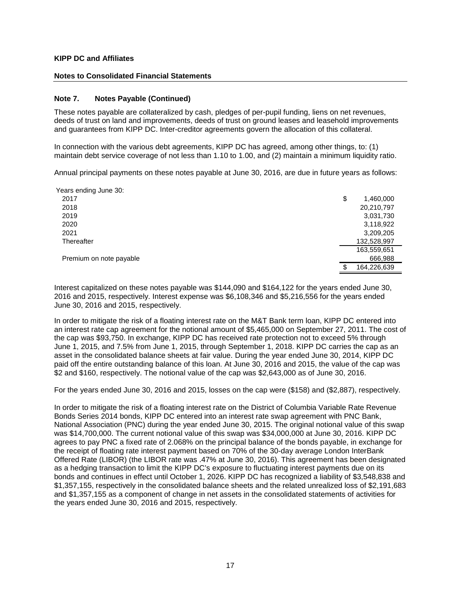#### **Notes to Consolidated Financial Statements**

### **Note 7. Notes Payable (Continued)**

These notes payable are collateralized by cash, pledges of per-pupil funding, liens on net revenues, deeds of trust on land and improvements, deeds of trust on ground leases and leasehold improvements and guarantees from KIPP DC. Inter-creditor agreements govern the allocation of this collateral.

In connection with the various debt agreements, KIPP DC has agreed, among other things, to: (1) maintain debt service coverage of not less than 1.10 to 1.00, and (2) maintain a minimum liquidity ratio.

Annual principal payments on these notes payable at June 30, 2016, are due in future years as follows:

| Years ending June 30:   |                    |
|-------------------------|--------------------|
| 2017                    | \$<br>1,460,000    |
| 2018                    | 20,210,797         |
| 2019                    | 3,031,730          |
| 2020                    | 3,118,922          |
| 2021                    | 3,209,205          |
| Thereafter              | 132,528,997        |
|                         | 163,559,651        |
| Premium on note payable | 666,988            |
|                         | 164,226,639<br>\$. |
|                         |                    |

Interest capitalized on these notes payable was \$144,090 and \$164,122 for the years ended June 30, 2016 and 2015, respectively. Interest expense was \$6,108,346 and \$5,216,556 for the years ended June 30, 2016 and 2015, respectively.

In order to mitigate the risk of a floating interest rate on the M&T Bank term loan, KIPP DC entered into an interest rate cap agreement for the notional amount of \$5,465,000 on September 27, 2011. The cost of the cap was \$93,750. In exchange, KIPP DC has received rate protection not to exceed 5% through June 1, 2015, and 7.5% from June 1, 2015, through September 1, 2018. KIPP DC carries the cap as an asset in the consolidated balance sheets at fair value. During the year ended June 30, 2014, KIPP DC paid off the entire outstanding balance of this loan. At June 30, 2016 and 2015, the value of the cap was \$2 and \$160, respectively. The notional value of the cap was \$2,643,000 as of June 30, 2016.

For the years ended June 30, 2016 and 2015, losses on the cap were (\$158) and (\$2,887), respectively.

In order to mitigate the risk of a floating interest rate on the District of Columbia Variable Rate Revenue Bonds Series 2014 bonds, KIPP DC entered into an interest rate swap agreement with PNC Bank, National Association (PNC) during the year ended June 30, 2015. The original notional value of this swap was \$14,700,000. The current notional value of this swap was \$34,000,000 at June 30, 2016. KIPP DC agrees to pay PNC a fixed rate of 2.068% on the principal balance of the bonds payable, in exchange for the receipt of floating rate interest payment based on 70% of the 30-day average London InterBank Offered Rate (LIBOR) (the LIBOR rate was .47% at June 30, 2016). This agreement has been designated as a hedging transaction to limit the KIPP DC's exposure to fluctuating interest payments due on its bonds and continues in effect until October 1, 2026. KIPP DC has recognized a liability of \$3,548,838 and \$1,357,155, respectively in the consolidated balance sheets and the related unrealized loss of \$2,191,683 and \$1,357,155 as a component of change in net assets in the consolidated statements of activities for the years ended June 30, 2016 and 2015, respectively.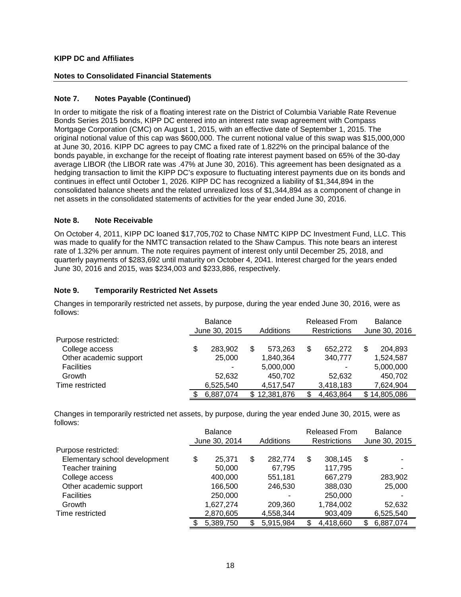### **Notes to Consolidated Financial Statements**

## **Note 7. Notes Payable (Continued)**

In order to mitigate the risk of a floating interest rate on the District of Columbia Variable Rate Revenue Bonds Series 2015 bonds, KIPP DC entered into an interest rate swap agreement with Compass Mortgage Corporation (CMC) on August 1, 2015, with an effective date of September 1, 2015. The original notional value of this cap was \$600,000. The current notional value of this swap was \$15,000,000 at June 30, 2016. KIPP DC agrees to pay CMC a fixed rate of 1.822% on the principal balance of the bonds payable, in exchange for the receipt of floating rate interest payment based on 65% of the 30-day average LIBOR (the LIBOR rate was .47% at June 30, 2016). This agreement has been designated as a hedging transaction to limit the KIPP DC's exposure to fluctuating interest payments due on its bonds and continues in effect until October 1, 2026. KIPP DC has recognized a liability of \$1,344,894 in the consolidated balance sheets and the related unrealized loss of \$1,344,894 as a component of change in net assets in the consolidated statements of activities for the year ended June 30, 2016.

## **Note 8. Note Receivable**

On October 4, 2011, KIPP DC loaned \$17,705,702 to Chase NMTC KIPP DC Investment Fund, LLC. This was made to qualify for the NMTC transaction related to the Shaw Campus. This note bears an interest rate of 1.32% per annum. The note requires payment of interest only until December 25, 2018, and quarterly payments of \$283,692 until maturity on October 4, 2041. Interest charged for the years ended June 30, 2016 and 2015, was \$234,003 and \$233,886, respectively.

## **Note 9. Temporarily Restricted Net Assets**

Changes in temporarily restricted net assets, by purpose, during the year ended June 30, 2016, were as follows:

|                        | <b>Balance</b> |                            |    |              |                     |           |               | <b>Balance</b> |
|------------------------|----------------|----------------------------|----|--------------|---------------------|-----------|---------------|----------------|
|                        |                | Additions<br>June 30, 2015 |    |              | <b>Restrictions</b> |           | June 30, 2016 |                |
| Purpose restricted:    |                |                            |    |              |                     |           |               |                |
| College access         |                | 283,902                    | \$ | 573.263      | \$                  | 652.272   | \$            | 204,893        |
| Other academic support |                | 25,000                     |    | 1.840.364    |                     | 340.777   |               | 1.524.587      |
| <b>Facilities</b>      |                | ۰                          |    | 5,000,000    |                     | ۰         |               | 5,000,000      |
| Growth                 |                | 52,632                     |    | 450.702      |                     | 52.632    |               | 450,702        |
| Time restricted        |                | 6,525,540                  |    | 4.517.547    |                     | 3,418,183 |               | 7,624,904      |
|                        |                | 6,887,074                  |    | \$12,381,876 |                     | 4.463.864 |               | \$14,805,086   |

Changes in temporarily restricted net assets, by purpose, during the year ended June 30, 2015, were as follows:

|                               | <b>Balance</b> |               |                     | <b>Released From</b> |    | <b>Balance</b> |
|-------------------------------|----------------|---------------|---------------------|----------------------|----|----------------|
|                               | June 30, 2014  | Additions     | <b>Restrictions</b> |                      |    | June 30, 2015  |
| Purpose restricted:           |                |               |                     |                      |    |                |
| Elementary school development | \$<br>25.371   | \$<br>282.774 | \$                  | 308,145              | \$ |                |
| Teacher training              | 50,000         | 67.795        |                     | 117.795              |    |                |
| College access                | 400,000        | 551,181       |                     | 667,279              |    | 283,902        |
| Other academic support        | 166.500        | 246.530       |                     | 388,030              |    | 25,000         |
| <b>Facilities</b>             | 250,000        | ۰             |                     | 250,000              |    |                |
| Growth                        | 1,627,274      | 209.360       |                     | 1,784,002            |    | 52,632         |
| Time restricted               | 2,870,605      | 4,558,344     |                     | 903,409              |    | 6,525,540      |
|                               | 5,389,750      | 5,915,984     | S                   | 4,418,660            | \$ | 6,887,074      |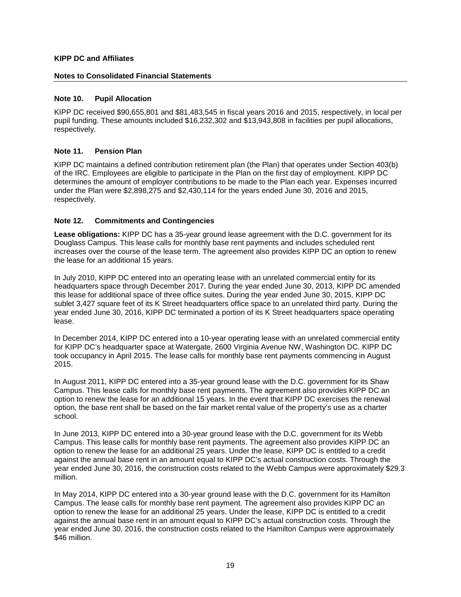### **Notes to Consolidated Financial Statements**

### **Note 10. Pupil Allocation**

KIPP DC received \$90,655,801 and \$81,483,545 in fiscal years 2016 and 2015, respectively, in local per pupil funding. These amounts included \$16,232,302 and \$13,943,808 in facilities per pupil allocations, respectively.

### **Note 11. Pension Plan**

KIPP DC maintains a defined contribution retirement plan (the Plan) that operates under Section 403(b) of the IRC. Employees are eligible to participate in the Plan on the first day of employment. KIPP DC determines the amount of employer contributions to be made to the Plan each year. Expenses incurred under the Plan were \$2,898,275 and \$2,430,114 for the years ended June 30, 2016 and 2015, respectively.

## **Note 12. Commitments and Contingencies**

**Lease obligations:** KIPP DC has a 35-year ground lease agreement with the D.C. government for its Douglass Campus. This lease calls for monthly base rent payments and includes scheduled rent increases over the course of the lease term. The agreement also provides KIPP DC an option to renew the lease for an additional 15 years.

In July 2010, KIPP DC entered into an operating lease with an unrelated commercial entity for its headquarters space through December 2017. During the year ended June 30, 2013, KIPP DC amended this lease for additional space of three office suites. During the year ended June 30, 2015, KIPP DC sublet 3,427 square feet of its K Street headquarters office space to an unrelated third party. During the year ended June 30, 2016, KIPP DC terminated a portion of its K Street headquarters space operating lease.

In December 2014, KIPP DC entered into a 10-year operating lease with an unrelated commercial entity for KIPP DC's headquarter space at Watergate, 2600 Virginia Avenue NW, Washington DC. KIPP DC took occupancy in April 2015. The lease calls for monthly base rent payments commencing in August 2015.

In August 2011, KIPP DC entered into a 35-year ground lease with the D.C. government for its Shaw Campus. This lease calls for monthly base rent payments. The agreement also provides KIPP DC an option to renew the lease for an additional 15 years. In the event that KIPP DC exercises the renewal option, the base rent shall be based on the fair market rental value of the property's use as a charter school.

In June 2013, KIPP DC entered into a 30-year ground lease with the D.C. government for its Webb Campus. This lease calls for monthly base rent payments. The agreement also provides KIPP DC an option to renew the lease for an additional 25 years. Under the lease, KIPP DC is entitled to a credit against the annual base rent in an amount equal to KIPP DC's actual construction costs. Through the year ended June 30, 2016, the construction costs related to the Webb Campus were approximately \$29.3 million.

In May 2014, KIPP DC entered into a 30-year ground lease with the D.C. government for its Hamilton Campus. The lease calls for monthly base rent payment. The agreement also provides KIPP DC an option to renew the lease for an additional 25 years. Under the lease, KIPP DC is entitled to a credit against the annual base rent in an amount equal to KIPP DC's actual construction costs. Through the year ended June 30, 2016, the construction costs related to the Hamilton Campus were approximately \$46 million.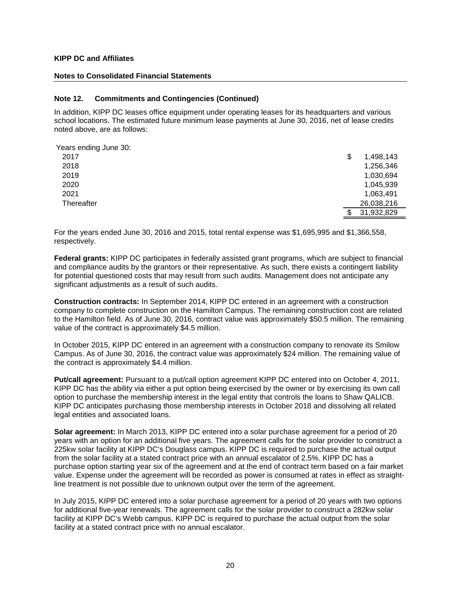#### **Notes to Consolidated Financial Statements**

### **Note 12. Commitments and Contingencies (Continued)**

In addition, KIPP DC leases office equipment under operating leases for its headquarters and various school locations. The estimated future minimum lease payments at June 30, 2016, net of lease credits noted above, are as follows:

| Years ending June 30: |                 |
|-----------------------|-----------------|
| 2017                  | 1,498,143<br>\$ |
| 2018                  | 1,256,346       |
| 2019                  | 1,030,694       |
| 2020                  | 1,045,939       |
| 2021                  | 1,063,491       |
| Thereafter            | 26,038,216      |
|                       | 31,932,829      |

For the years ended June 30, 2016 and 2015, total rental expense was \$1,695,995 and \$1,366,558, respectively.

**Federal grants:** KIPP DC participates in federally assisted grant programs, which are subject to financial and compliance audits by the grantors or their representative. As such, there exists a contingent liability for potential questioned costs that may result from such audits. Management does not anticipate any significant adjustments as a result of such audits.

**Construction contracts:** In September 2014, KIPP DC entered in an agreement with a construction company to complete construction on the Hamilton Campus. The remaining construction cost are related to the Hamilton field. As of June 30, 2016, contract value was approximately \$50.5 million. The remaining value of the contract is approximately \$4.5 million.

In October 2015, KIPP DC entered in an agreement with a construction company to renovate its Smilow Campus. As of June 30, 2016, the contract value was approximately \$24 million. The remaining value of the contract is approximately \$4.4 million.

**Put/call agreement:** Pursuant to a put/call option agreement KIPP DC entered into on October 4, 2011, KIPP DC has the ability via either a put option being exercised by the owner or by exercising its own call option to purchase the membership interest in the legal entity that controls the loans to Shaw QALICB. KIPP DC anticipates purchasing those membership interests in October 2018 and dissolving all related legal entities and associated loans.

**Solar agreement:** In March 2013, KIPP DC entered into a solar purchase agreement for a period of 20 years with an option for an additional five years. The agreement calls for the solar provider to construct a 225kw solar facility at KIPP DC's Douglass campus. KIPP DC is required to purchase the actual output from the solar facility at a stated contract price with an annual escalator of 2.5%. KIPP DC has a purchase option starting year six of the agreement and at the end of contract term based on a fair market value. Expense under the agreement will be recorded as power is consumed at rates in effect as straightline treatment is not possible due to unknown output over the term of the agreement.

In July 2015, KIPP DC entered into a solar purchase agreement for a period of 20 years with two options for additional five-year renewals. The agreement calls for the solar provider to construct a 282kw solar facility at KIPP DC's Webb campus. KIPP DC is required to purchase the actual output from the solar facility at a stated contract price with no annual escalator.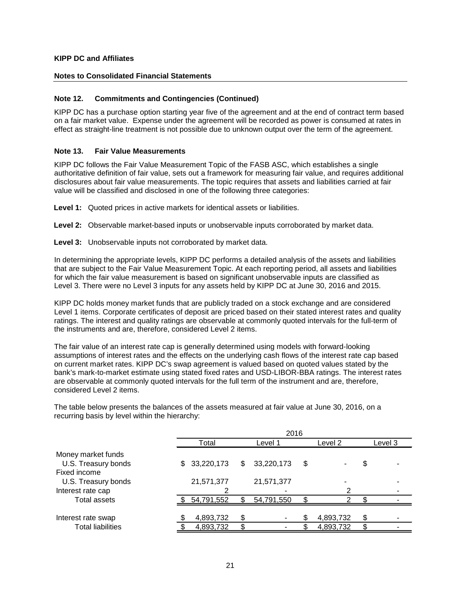### **Notes to Consolidated Financial Statements**

### **Note 12. Commitments and Contingencies (Continued)**

KIPP DC has a purchase option starting year five of the agreement and at the end of contract term based on a fair market value. Expense under the agreement will be recorded as power is consumed at rates in effect as straight-line treatment is not possible due to unknown output over the term of the agreement.

#### **Note 13. Fair Value Measurements**

KIPP DC follows the Fair Value Measurement Topic of the FASB ASC, which establishes a single authoritative definition of fair value, sets out a framework for measuring fair value, and requires additional disclosures about fair value measurements. The topic requires that assets and liabilities carried at fair value will be classified and disclosed in one of the following three categories:

**Level 1:** Quoted prices in active markets for identical assets or liabilities.

**Level 2:** Observable market-based inputs or unobservable inputs corroborated by market data.

**Level 3:** Unobservable inputs not corroborated by market data.

In determining the appropriate levels, KIPP DC performs a detailed analysis of the assets and liabilities that are subject to the Fair Value Measurement Topic. At each reporting period, all assets and liabilities for which the fair value measurement is based on significant unobservable inputs are classified as Level 3. There were no Level 3 inputs for any assets held by KIPP DC at June 30, 2016 and 2015.

KIPP DC holds money market funds that are publicly traded on a stock exchange and are considered Level 1 items. Corporate certificates of deposit are priced based on their stated interest rates and quality ratings. The interest and quality ratings are observable at commonly quoted intervals for the full-term of the instruments and are, therefore, considered Level 2 items.

The fair value of an interest rate cap is generally determined using models with forward-looking assumptions of interest rates and the effects on the underlying cash flows of the interest rate cap based on current market rates. KIPP DC's swap agreement is valued based on quoted values stated by the bank's mark-to-market estimate using stated fixed rates and USD-LIBOR-BBA ratings. The interest rates are observable at commonly quoted intervals for the full term of the instrument and are, therefore, considered Level 2 items.

The table below presents the balances of the assets measured at fair value at June 30, 2016, on a recurring basis by level within the hierarchy:

| 2016 |                  |              |                          |    |           |         |  |  |  |  |
|------|------------------|--------------|--------------------------|----|-----------|---------|--|--|--|--|
|      | Level 1<br>Total |              |                          |    | Level 2   | Level 3 |  |  |  |  |
|      |                  |              |                          |    |           |         |  |  |  |  |
|      |                  | S            | 33,220,173               | \$ |           | S       |  |  |  |  |
|      |                  |              |                          |    |           |         |  |  |  |  |
|      | 21,571,377       |              | 21,571,377               |    |           |         |  |  |  |  |
|      |                  |              |                          |    |           |         |  |  |  |  |
|      | 54,791,552       |              | 54,791,550               |    |           |         |  |  |  |  |
|      |                  |              |                          |    |           |         |  |  |  |  |
|      | 4,893,732        | \$           | $\overline{\phantom{a}}$ | S  | 4,893,732 | \$      |  |  |  |  |
|      | 4,893,732        |              |                          |    | 4,893,732 |         |  |  |  |  |
|      |                  | \$33,220,173 |                          |    |           |         |  |  |  |  |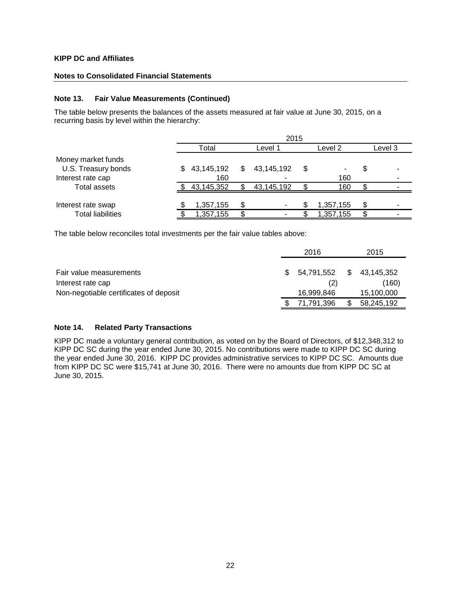### **Notes to Consolidated Financial Statements**

### **Note 13. Fair Value Measurements (Continued)**

The table below presents the balances of the assets measured at fair value at June 30, 2015, on a recurring basis by level within the hierarchy:

|                          | 2015             |    |            |   |           |    |         |  |  |  |  |
|--------------------------|------------------|----|------------|---|-----------|----|---------|--|--|--|--|
|                          | Total            |    | Level 1    |   | Level 2   |    | Level 3 |  |  |  |  |
| Money market funds       |                  |    |            |   |           |    |         |  |  |  |  |
| U.S. Treasury bonds      | 43,145,192<br>S. | S. | 43,145,192 | S |           | S  |         |  |  |  |  |
| Interest rate cap        | 160              |    |            |   | 160       |    |         |  |  |  |  |
| Total assets             | 43,145,352       |    | 43,145,192 |   | 160       |    |         |  |  |  |  |
|                          |                  |    |            |   |           |    |         |  |  |  |  |
| Interest rate swap       | 1,357,155        | S  | ۰          |   | 1,357,155 | \$ |         |  |  |  |  |
| <b>Total liabilities</b> | 1,357,155        |    |            |   | 1,357,155 |    |         |  |  |  |  |

The table below reconciles total investments per the fair value tables above:

|                                        |     | 2016       |    | 2015       |
|----------------------------------------|-----|------------|----|------------|
| Fair value measurements                | SS. | 54,791,552 | S. | 43,145,352 |
|                                        |     |            |    |            |
| Interest rate cap                      |     | (2)        |    | (160)      |
| Non-negotiable certificates of deposit |     | 16,999,846 |    | 15,100,000 |
|                                        |     | 71.791.396 |    | 58,245,192 |

## **Note 14. Related Party Transactions**

KIPP DC made a voluntary general contribution, as voted on by the Board of Directors, of \$12,348,312 to KIPP DC SC during the year ended June 30, 2015. No contributions were made to KIPP DC SC during the year ended June 30, 2016. KIPP DC provides administrative services to KIPP DC SC. Amounts due from KIPP DC SC were \$15,741 at June 30, 2016. There were no amounts due from KIPP DC SC at June 30, 2015.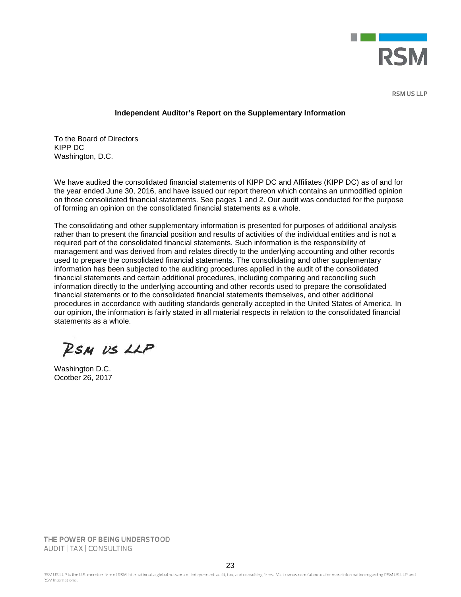

**RSM US LLP** 

#### **Independent Auditor's Report on the Supplementary Information**

To the Board of Directors KIPP DC Washington, D.C.

We have audited the consolidated financial statements of KIPP DC and Affiliates (KIPP DC) as of and for the year ended June 30, 2016, and have issued our report thereon which contains an unmodified opinion on those consolidated financial statements. See pages 1 and 2. Our audit was conducted for the purpose of forming an opinion on the consolidated financial statements as a whole.

The consolidating and other supplementary information is presented for purposes of additional analysis rather than to present the financial position and results of activities of the individual entities and is not a required part of the consolidated financial statements. Such information is the responsibility of management and was derived from and relates directly to the underlying accounting and other records used to prepare the consolidated financial statements. The consolidating and other supplementary information has been subjected to the auditing procedures applied in the audit of the consolidated financial statements and certain additional procedures, including comparing and reconciling such information directly to the underlying accounting and other records used to prepare the consolidated financial statements or to the consolidated financial statements themselves, and other additional procedures in accordance with auditing standards generally accepted in the United States of America. In our opinion, the information is fairly stated in all material respects in relation to the consolidated financial statements as a whole.

RSM US LLP

Washington D.C. Ocotber 26, 2017

THE POWER OF BEING UNDERSTOOD AUDIT | TAX | CONSULTING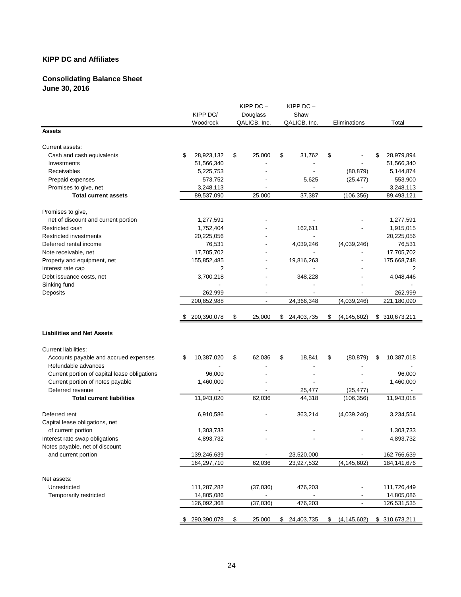### **Consolidating Balance Sheet June 30, 2016**

|                                                              | KIPP DC/                 | KIPP $DC -$<br>Douglass |                          | KIPP DC-<br>Shaw |               |    |                          |                  |
|--------------------------------------------------------------|--------------------------|-------------------------|--------------------------|------------------|---------------|----|--------------------------|------------------|
|                                                              | Woodrock                 |                         | QALICB, Inc.             |                  | QALICB, Inc.  |    | Eliminations             | Total            |
| <b>Assets</b>                                                |                          |                         |                          |                  |               |    |                          |                  |
| Current assets:                                              |                          |                         |                          |                  |               |    |                          |                  |
| Cash and cash equivalents                                    | \$<br>28,923,132         | \$                      | 25,000                   | \$               | 31,762        | \$ |                          | \$<br>28,979,894 |
| Investments                                                  | 51,566,340               |                         |                          |                  |               |    |                          | 51,566,340       |
| Receivables                                                  | 5,225,753                |                         |                          |                  |               |    | (80, 879)                | 5,144,874        |
| Prepaid expenses                                             | 573,752                  |                         |                          |                  | 5,625         |    | (25, 477)                | 553,900          |
| Promises to give, net                                        | 3,248,113                |                         |                          |                  |               |    |                          | 3,248,113        |
| <b>Total current assets</b>                                  | 89,537,090               |                         | 25,000                   |                  | 37,387        |    | (106, 356)               | 89,493,121       |
| Promises to give,                                            |                          |                         |                          |                  |               |    |                          |                  |
| net of discount and current portion                          | 1,277,591                |                         |                          |                  |               |    |                          | 1,277,591        |
| Restricted cash                                              | 1,752,404                |                         |                          |                  | 162,611       |    |                          | 1,915,015        |
| <b>Restricted investments</b>                                | 20,225,056               |                         |                          |                  |               |    |                          | 20,225,056       |
|                                                              |                          |                         |                          |                  |               |    |                          |                  |
| Deferred rental income                                       | 76,531                   |                         |                          |                  | 4,039,246     |    | (4,039,246)              | 76,531           |
| Note receivable, net                                         | 17,705,702               |                         |                          |                  |               |    |                          | 17,705,702       |
| Property and equipment, net                                  | 155,852,485              |                         |                          |                  | 19,816,263    |    |                          | 175,668,748      |
| Interest rate cap                                            | 2                        |                         |                          |                  |               |    |                          | 2                |
| Debt issuance costs, net                                     | 3,700,218                |                         |                          |                  | 348,228       |    |                          | 4,048,446        |
| Sinking fund                                                 |                          |                         |                          |                  |               |    |                          |                  |
| Deposits                                                     | 262,999                  |                         |                          |                  |               |    |                          | 262,999          |
|                                                              | 200,852,988              |                         | $\blacksquare$           |                  | 24,366,348    |    | (4,039,246)              | 221,180,090      |
|                                                              | 290,390,078              | \$                      | 25,000                   | \$               | 24,403,735    | \$ | (4, 145, 602)            | \$ 310,673,211   |
| <b>Liabilities and Net Assets</b>                            |                          |                         |                          |                  |               |    |                          |                  |
| Current liabilities:                                         |                          |                         |                          |                  |               |    |                          |                  |
| Accounts payable and accrued expenses<br>Refundable advances | \$<br>10,387,020         | \$                      | 62,036                   | \$               | 18,841        | \$ | (80, 879)                | \$<br>10,387,018 |
| Current portion of capital lease obligations                 | 96,000                   |                         |                          |                  |               |    |                          | 96,000           |
| Current portion of notes payable                             | 1,460,000                |                         |                          |                  |               |    |                          | 1,460,000        |
| Deferred revenue                                             | $\overline{\phantom{a}}$ |                         |                          |                  | 25,477        |    | (25, 477)                |                  |
| <b>Total current liabilities</b>                             | 11,943,020               |                         | 62,036                   |                  | 44,318        |    | (106, 356)               | 11,943,018       |
| Deferred rent                                                | 6,910,586                |                         |                          |                  | 363,214       |    | (4,039,246)              | 3,234,554        |
| Capital lease obligations, net                               |                          |                         |                          |                  |               |    |                          |                  |
| of current portion                                           | 1,303,733                |                         |                          |                  |               |    |                          | 1,303,733        |
| Interest rate swap obligations                               | 4,893,732                |                         |                          |                  |               |    |                          | 4,893,732        |
| Notes payable, net of discount                               |                          |                         |                          |                  |               |    |                          |                  |
| and current portion                                          | 139,246,639              |                         |                          |                  | 23,520,000    |    |                          | 162,766,639      |
|                                                              | 164,297,710              |                         | 62,036                   |                  | 23,927,532    |    | (4, 145, 602)            | 184, 141, 676    |
|                                                              |                          |                         |                          |                  |               |    |                          |                  |
| Net assets:                                                  |                          |                         |                          |                  |               |    |                          |                  |
| Unrestricted                                                 | 111,287,282              |                         | (37,036)                 |                  | 476,203       |    |                          | 111,726,449      |
| Temporarily restricted                                       | 14,805,086               |                         | $\overline{\phantom{a}}$ |                  |               |    |                          | 14,805,086       |
|                                                              | 126,092,368              |                         | (37,036)                 |                  | 476,203       |    | $\overline{\phantom{a}}$ | 126,531,535      |
|                                                              | \$ 290,390,078           | \$                      | 25,000                   |                  | \$ 24,403,735 | \$ | (4, 145, 602)            | \$310,673,211    |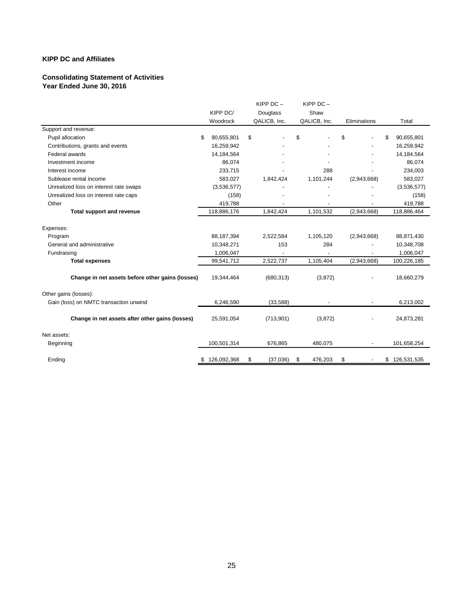# **Consolidating Statement of Activities Year Ended June 30, 2016**

|                                                  |    |             | $KIPP$ $DC -$ | $KIPP$ $DC-$ |               |              |                  |
|--------------------------------------------------|----|-------------|---------------|--------------|---------------|--------------|------------------|
|                                                  |    | KIPP DC/    |               | Douglass     | Shaw          |              |                  |
|                                                  |    | Woodrock    |               | QALICB, Inc. | QALICB, Inc.  | Eliminations | Total            |
| Support and revenue:                             |    |             |               |              |               |              |                  |
| Pupil allocation                                 | \$ | 90,655,801  | \$            |              | \$            | \$           | \$<br>90,655,801 |
| Contributions, grants and events                 |    | 16,259,942  |               |              |               |              | 16,259,942       |
| Federal awards                                   |    | 14,184,564  |               |              |               |              | 14,184,564       |
| Investment income                                |    | 86,074      |               |              |               |              | 86,074           |
| Interest income                                  |    | 233,715     |               |              | 288           |              | 234,003          |
| Sublease rental income                           |    | 583,027     |               | 1,842,424    | 1,101,244     | (2,943,668)  | 583,027          |
| Unrealized loss on interest rate swaps           |    | (3,536,577) |               |              |               |              | (3,536,577)      |
| Unrealized loss on interest rate caps            |    | (158)       |               |              |               |              | (158)            |
| Other                                            |    | 419,788     |               |              |               |              | 419,788          |
| <b>Total support and revenue</b>                 |    | 118,886,176 |               | 1,842,424    | 1,101,532     | (2,943,668)  | 118,886,464      |
| Expenses:                                        |    |             |               |              |               |              |                  |
| Program                                          |    | 88,187,394  |               | 2,522,584    | 1,105,120     | (2,943,668)  | 88,871,430       |
| General and administrative                       |    | 10,348,271  |               | 153          | 284           |              | 10,348,708       |
| Fundraising                                      |    | 1,006,047   |               |              |               |              | 1,006,047        |
| <b>Total expenses</b>                            |    | 99,541,712  |               | 2,522,737    | 1,105,404     | (2,943,668)  | 100,226,185      |
| Change in net assets before other gains (losses) |    | 19,344,464  |               | (680, 313)   | (3,872)       |              | 18,660,279       |
| Other gains (losses):                            |    |             |               |              |               |              |                  |
| Gain (loss) on NMTC transaction unwind           |    | 6,246,590   |               | (33,588)     |               |              | 6,213,002        |
| Change in net assets after other gains (losses)  |    | 25,591,054  |               | (713,901)    | (3,872)       |              | 24,873,281       |
| Net assets:                                      |    |             |               |              |               |              |                  |
| Beginning                                        |    | 100,501,314 |               | 676,865      | 480,075       |              | 101,658,254      |
| Ending                                           | \$ | 126,092,368 | \$            | (37,036)     | \$<br>476,203 | \$           | \$126,531,535    |